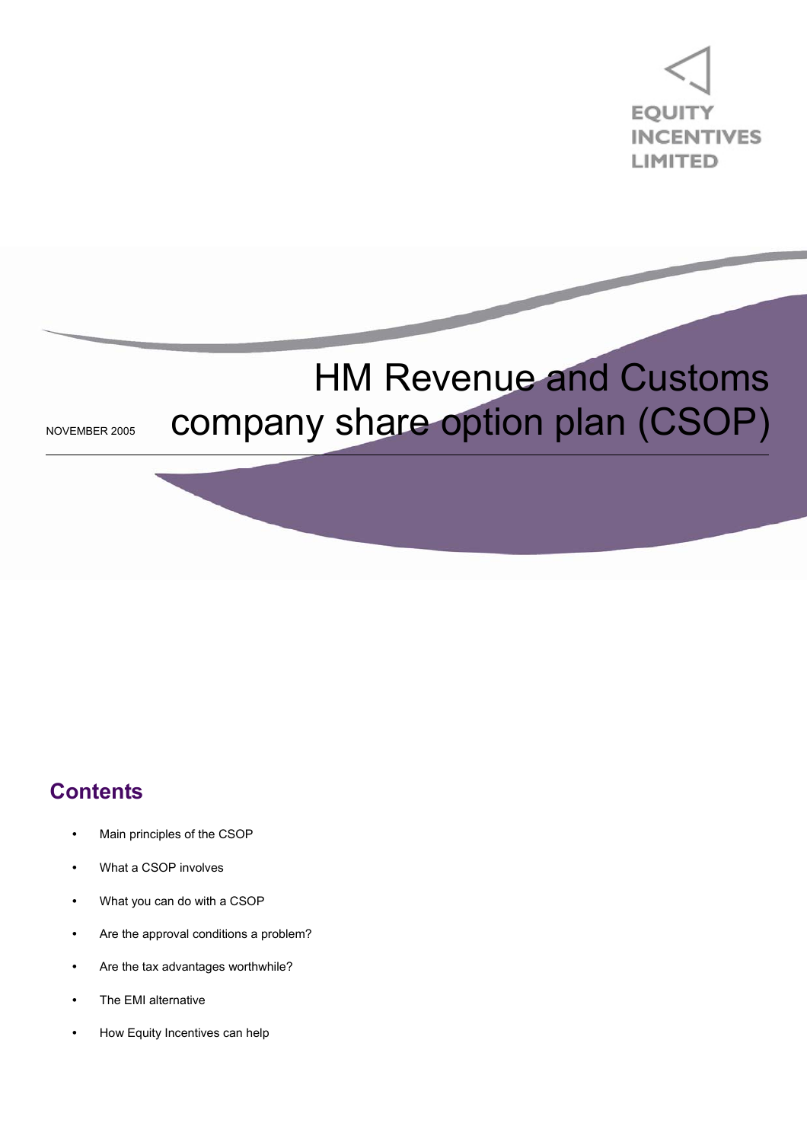

# HM Revenue and Customs NOVEMBER 2005 COMpany share option plan (CSOP)

### **Contents**

- Main principles of the CSOP
- **•** What a CSOP involves
- **•** What you can do with a CSOP
- **•** Are the approval conditions a problem?
- **•** Are the tax advantages worthwhile?
- **•** The EMI alternative
- **•** How Equity Incentives can help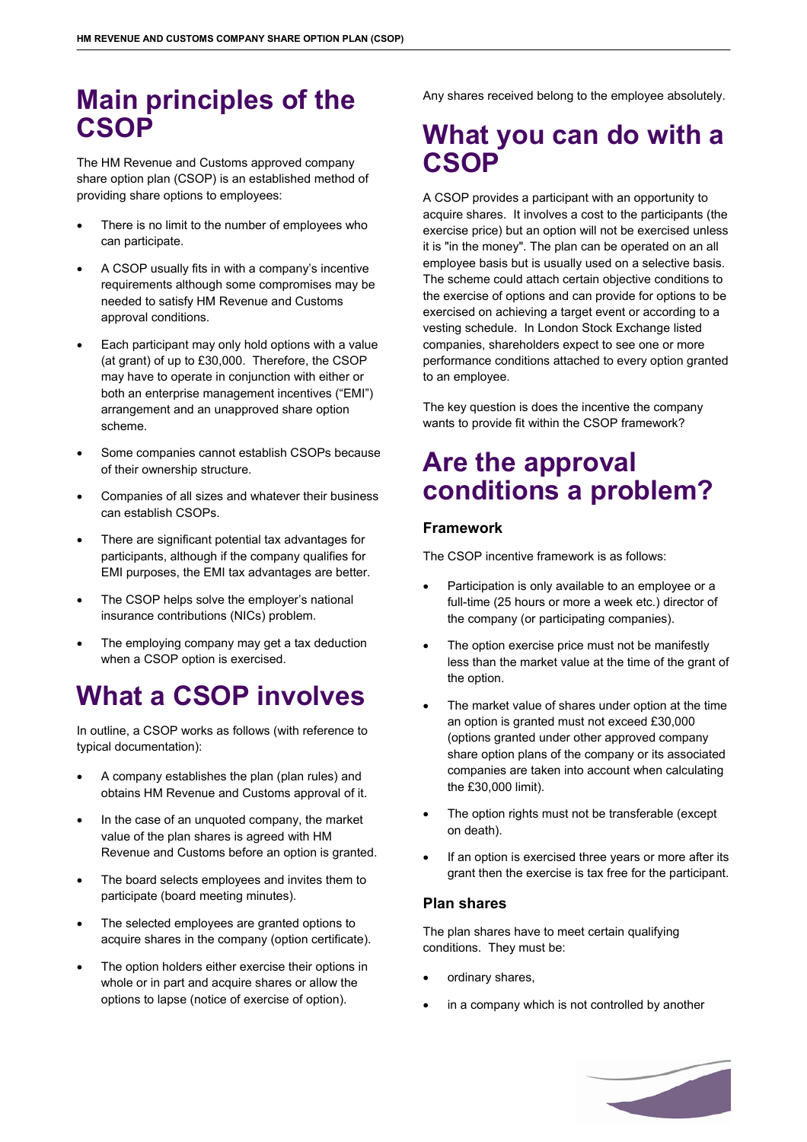### **Main principles of the CSOP**

The HM Revenue and Customs approved company share option plan (CSOP) is an established method of providing share options to employees:

- There is no limit to the number of employees who can participate.
- A CSOP usually fits in with a company's incentive requirements although some compromises may be needed to satisfy HM Revenue and Customs approval conditions.
- Each participant may only hold options with a value (at grant) of up to £30,000. Therefore, the CSOP may have to operate in conjunction with either or both an enterprise management incentives ("EMI") arrangement and an unapproved share option scheme.
- Some companies cannot establish CSOPs because of their ownership structure.
- Companies of all sizes and whatever their business can establish CSOPs.
- There are significant potential tax advantages for participants, although if the company qualifies for EMI purposes, the EMI tax advantages are better.
- The CSOP helps solve the employer's national insurance contributions (NICs) problem.
- The employing company may get a tax deduction when a CSOP option is exercised.

### **What a CSOP involves**

In outline, a CSOP works as follows (with reference to typical documentation):

- A company establishes the plan (plan rules) and obtains HM Revenue and Customs approval of it.
- In the case of an unquoted company, the market value of the plan shares is agreed with HM Revenue and Customs before an option is granted.
- The board selects employees and invites them to participate (board meeting minutes).
- The selected employees are granted options to acquire shares in the company (option certificate).
- The option holders either exercise their options in whole or in part and acquire shares or allow the options to lapse (notice of exercise of option).

Any shares received belong to the employee absolutely.

### **What you can do with a CSOP**

A CSOP provides a participant with an opportunity to acquire shares. It involves a cost to the participants (the exercise price) but an option will not be exercised unless it is "in the money". The plan can be operated on an all employee basis but is usually used on a selective basis. The scheme could attach certain objective conditions to the exercise of options and can provide for options to be exercised on achieving a target event or according to a vesting schedule. In London Stock Exchange listed companies, shareholders expect to see one or more performance conditions attached to every option granted to an employee.

The key question is does the incentive the company wants to provide fit within the CSOP framework?

### **Are the approval conditions a problem?**

#### **Framework**

The CSOP incentive framework is as follows:

- Participation is only available to an employee or a full-time (25 hours or more a week etc.) director of the company (or participating companies).
- The option exercise price must not be manifestly less than the market value at the time of the grant of the option.
- The market value of shares under option at the time an option is granted must not exceed £30,000 (options granted under other approved company share option plans of the company or its associated companies are taken into account when calculating the £30,000 limit).
- The option rights must not be transferable (except on death).
- If an option is exercised three years or more after its grant then the exercise is tax free for the participant.

#### **Plan shares**

The plan shares have to meet certain qualifying conditions. They must be:

- ordinary shares.
- in a company which is not controlled by another

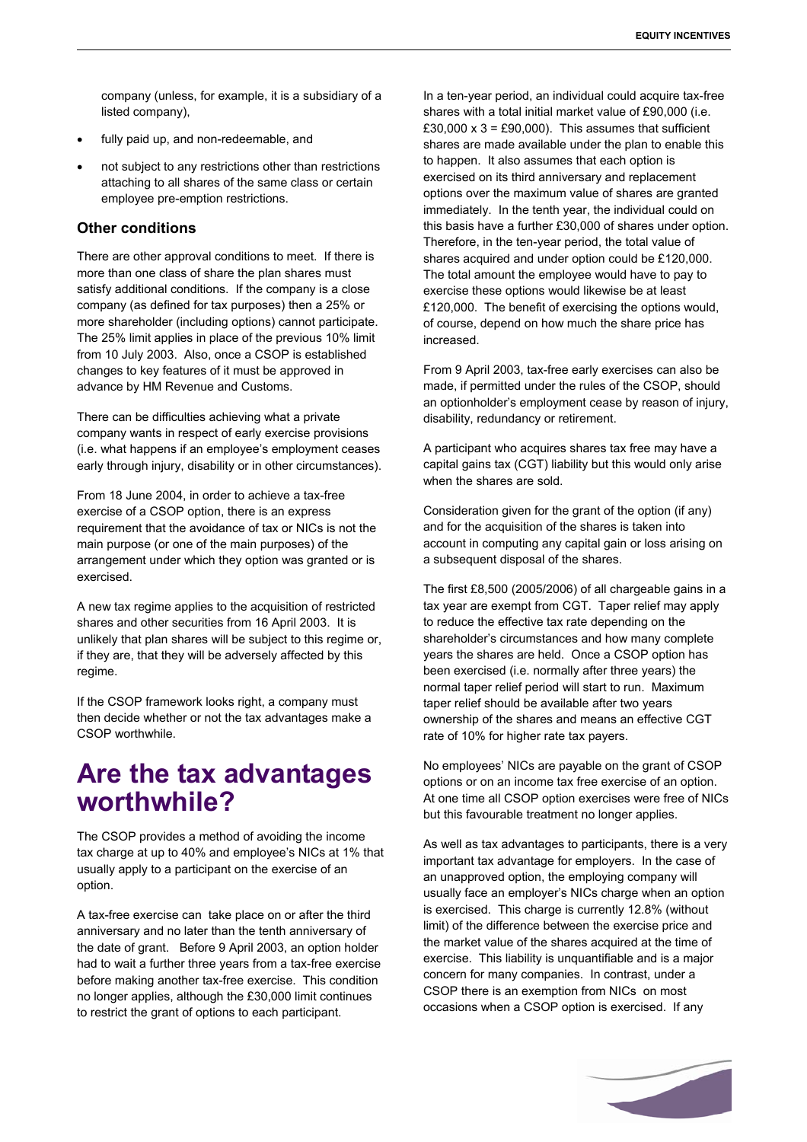company (unless, for example, it is a subsidiary of a listed company),

- fully paid up, and non-redeemable, and
- not subject to any restrictions other than restrictions attaching to all shares of the same class or certain employee pre-emption restrictions.

#### **Other conditions**

There are other approval conditions to meet. If there is more than one class of share the plan shares must satisfy additional conditions. If the company is a close company (as defined for tax purposes) then a 25% or more shareholder (including options) cannot participate. The 25% limit applies in place of the previous 10% limit from 10 July 2003. Also, once a CSOP is established changes to key features of it must be approved in advance by HM Revenue and Customs.

There can be difficulties achieving what a private company wants in respect of early exercise provisions (i.e. what happens if an employee's employment ceases early through injury, disability or in other circumstances).

From 18 June 2004, in order to achieve a tax-free exercise of a CSOP option, there is an express requirement that the avoidance of tax or NICs is not the main purpose (or one of the main purposes) of the arrangement under which they option was granted or is exercised.

A new tax regime applies to the acquisition of restricted shares and other securities from 16 April 2003. It is unlikely that plan shares will be subject to this regime or, if they are, that they will be adversely affected by this regime.

If the CSOP framework looks right, a company must then decide whether or not the tax advantages make a CSOP worthwhile.

### **Are the tax advantages worthwhile?**

The CSOP provides a method of avoiding the income tax charge at up to 40% and employee's NICs at 1% that usually apply to a participant on the exercise of an option.

A tax-free exercise can take place on or after the third anniversary and no later than the tenth anniversary of the date of grant. Before 9 April 2003, an option holder had to wait a further three years from a tax-free exercise before making another tax-free exercise. This condition no longer applies, although the £30,000 limit continues to restrict the grant of options to each participant.

In a ten-year period, an individual could acquire tax-free shares with a total initial market value of £90,000 (i.e. £30,000  $\times$  3 = £90,000). This assumes that sufficient shares are made available under the plan to enable this to happen. It also assumes that each option is exercised on its third anniversary and replacement options over the maximum value of shares are granted immediately. In the tenth year, the individual could on this basis have a further £30,000 of shares under option. Therefore, in the ten-year period, the total value of shares acquired and under option could be £120,000. The total amount the employee would have to pay to exercise these options would likewise be at least £120,000. The benefit of exercising the options would, of course, depend on how much the share price has increased.

From 9 April 2003, tax-free early exercises can also be made, if permitted under the rules of the CSOP, should an optionholder's employment cease by reason of injury, disability, redundancy or retirement.

A participant who acquires shares tax free may have a capital gains tax (CGT) liability but this would only arise when the shares are sold.

Consideration given for the grant of the option (if any) and for the acquisition of the shares is taken into account in computing any capital gain or loss arising on a subsequent disposal of the shares.

The first £8,500 (2005/2006) of all chargeable gains in a tax year are exempt from CGT. Taper relief may apply to reduce the effective tax rate depending on the shareholder's circumstances and how many complete years the shares are held. Once a CSOP option has been exercised (i.e. normally after three years) the normal taper relief period will start to run. Maximum taper relief should be available after two years ownership of the shares and means an effective CGT rate of 10% for higher rate tax payers.

No employees' NICs are payable on the grant of CSOP options or on an income tax free exercise of an option. At one time all CSOP option exercises were free of NICs but this favourable treatment no longer applies.

As well as tax advantages to participants, there is a very important tax advantage for employers. In the case of an unapproved option, the employing company will usually face an employer's NICs charge when an option is exercised. This charge is currently 12.8% (without limit) of the difference between the exercise price and the market value of the shares acquired at the time of exercise. This liability is unquantifiable and is a major concern for many companies. In contrast, under a CSOP there is an exemption from NICs on most occasions when a CSOP option is exercised. If any